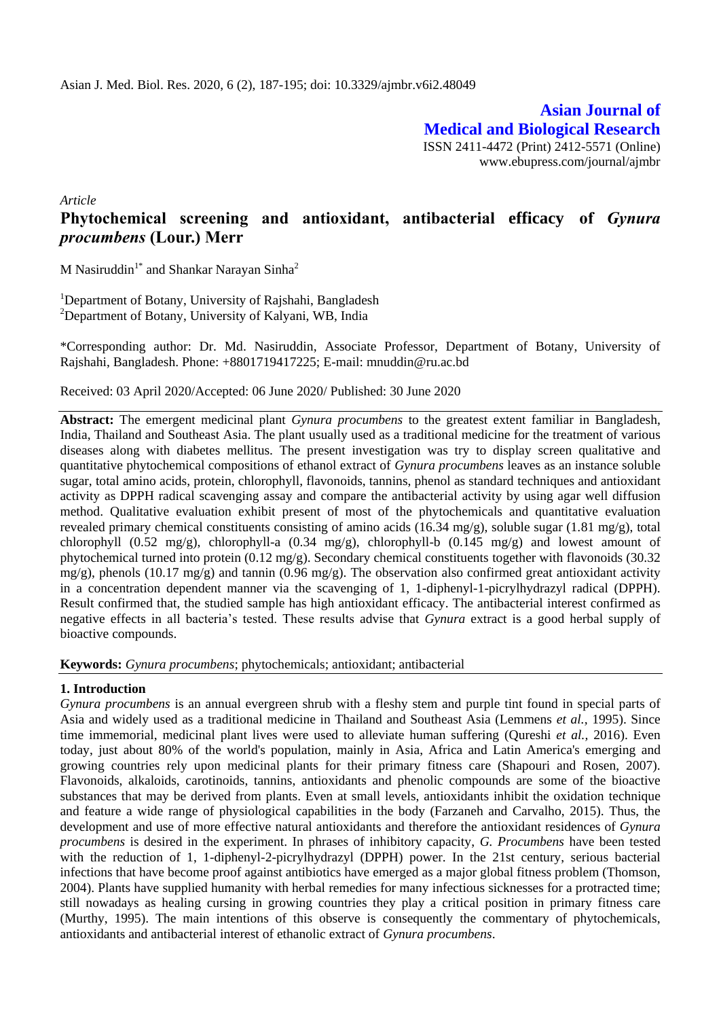**Asian Journal of Medical and Biological Research** ISSN 2411-4472 (Print) 2412-5571 (Online) www.ebupress.com/journal/ajmbr

*Article*

# **Phytochemical screening and antioxidant, antibacterial efficacy of** *Gynura procumbens* **(Lour.) Merr**

M Nasiruddin<sup>1\*</sup> and Shankar Narayan Sinha<sup>2</sup>

<sup>1</sup>Department of Botany, University of Rajshahi, Bangladesh <sup>2</sup>Department of Botany, University of Kalyani, WB, India

\*Corresponding author: Dr. Md. Nasiruddin, Associate Professor, Department of Botany, University of Rajshahi, Bangladesh. Phone: +8801719417225; E-mail: mnuddin@ru.ac.bd

Received: 03 April 2020/Accepted: 06 June 2020/ Published: 30 June 2020

**Abstract:** The emergent medicinal plant *Gynura procumbens* to the greatest extent familiar in Bangladesh, India, Thailand and Southeast Asia. The plant usually used as a traditional medicine for the treatment of various diseases along with diabetes mellitus. The present investigation was try to display screen qualitative and quantitative phytochemical compositions of ethanol extract of *Gynura procumbens* leaves as an instance soluble sugar, total amino acids, protein, chlorophyll, flavonoids, tannins, phenol as standard techniques and antioxidant activity as DPPH radical scavenging assay and compare the antibacterial activity by using agar well diffusion method. Qualitative evaluation exhibit present of most of the phytochemicals and quantitative evaluation revealed primary chemical constituents consisting of amino acids (16.34 mg/g), soluble sugar (1.81 mg/g), total chlorophyll (0.52 mg/g), chlorophyll-a (0.34 mg/g), chlorophyll-b (0.145 mg/g) and lowest amount of phytochemical turned into protein (0.12 mg/g). Secondary chemical constituents together with flavonoids (30.32 mg/g), phenols (10.17 mg/g) and tannin (0.96 mg/g). The observation also confirmed great antioxidant activity in a concentration dependent manner via the scavenging of 1, 1-diphenyl-1-picrylhydrazyl radical (DPPH). Result confirmed that, the studied sample has high antioxidant efficacy. The antibacterial interest confirmed as negative effects in all bacteria's tested. These results advise that *Gynura* extract is a good herbal supply of bioactive compounds.

**Keywords:** *Gynura procumbens*; phytochemicals; antioxidant; antibacterial

## **1. Introduction**

*Gynura procumbens* is an annual evergreen shrub with a fleshy stem and purple tint found in special parts of Asia and widely used as a traditional medicine in Thailand and Southeast Asia (Lemmens *et al.,* 1995). Since time immemorial, medicinal plant lives were used to alleviate human suffering (Qureshi *et al.,* 2016). Even today, just about 80% of the world's population, mainly in Asia, Africa and Latin America's emerging and growing countries rely upon medicinal plants for their primary fitness care (Shapouri and Rosen, 2007). Flavonoids, alkaloids, carotinoids, tannins, antioxidants and phenolic compounds are some of the bioactive substances that may be derived from plants. Even at small levels, antioxidants inhibit the oxidation technique and feature a wide range of physiological capabilities in the body (Farzaneh and Carvalho, 2015). Thus, the development and use of more effective natural antioxidants and therefore the antioxidant residences of *Gynura procumbens* is desired in the experiment. In phrases of inhibitory capacity, *G. Procumbens* have been tested with the reduction of 1, 1-diphenyl-2-picrylhydrazyl (DPPH) power. In the 21st century, serious bacterial infections that have become proof against antibiotics have emerged as a major global fitness problem (Thomson, 2004). Plants have supplied humanity with herbal remedies for many infectious sicknesses for a protracted time; still nowadays as healing cursing in growing countries they play a critical position in primary fitness care (Murthy, 1995). The main intentions of this observe is consequently the commentary of phytochemicals, antioxidants and antibacterial interest of ethanolic extract of *Gynura procumbens*.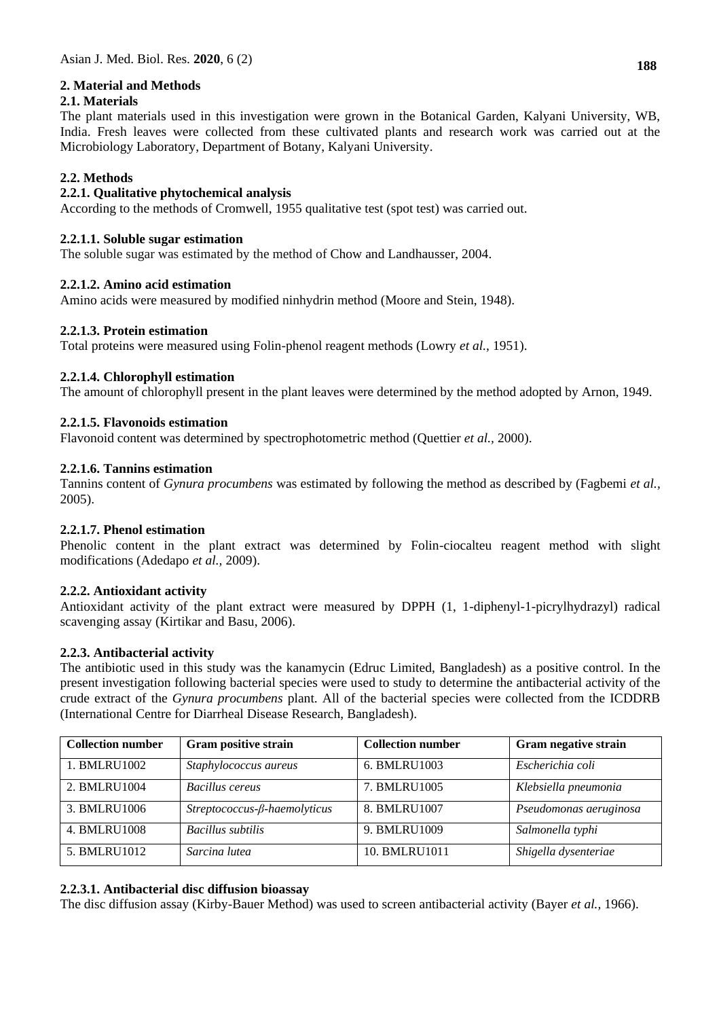# **2. Material and Methods**

# **2.1. Materials**

The plant materials used in this investigation were grown in the Botanical Garden, Kalyani University, WB, India. Fresh leaves were collected from these cultivated plants and research work was carried out at the Microbiology Laboratory, Department of Botany, Kalyani University.

# **2.2. Methods**

## **2.2.1. Qualitative phytochemical analysis**

According to the methods of Cromwell, 1955 qualitative test (spot test) was carried out.

## **2.2.1.1. Soluble sugar estimation**

The soluble sugar was estimated by the method of Chow and Landhausser, 2004.

## **2.2.1.2. Amino acid estimation**

Amino acids were measured by modified ninhydrin method (Moore and Stein, 1948).

## **2.2.1.3. Protein estimation**

Total proteins were measured using Folin-phenol reagent methods (Lowry *et al.,* 1951).

# **2.2.1.4. Chlorophyll estimation**

The amount of chlorophyll present in the plant leaves were determined by the method adopted by Arnon, 1949.

# **2.2.1.5. Flavonoids estimation**

Flavonoid content was determined by spectrophotometric method (Quettier *et al.,* 2000).

## **2.2.1.6. Tannins estimation**

Tannins content of *Gynura procumbens* was estimated by following the method as described by (Fagbemi *et al.,* 2005).

## **2.2.1.7. Phenol estimation**

Phenolic content in the plant extract was determined by Folin-ciocalteu reagent method with slight modifications (Adedapo *et al.,* 2009).

## **2.2.2. Antioxidant activity**

Antioxidant activity of the plant extract were measured by DPPH (1, 1-diphenyl-1-picrylhydrazyl) radical scavenging assay (Kirtikar and Basu, 2006).

## **2.2.3. Antibacterial activity**

The antibiotic used in this study was the kanamycin (Edruc Limited, Bangladesh) as a positive control. In the present investigation following bacterial species were used to study to determine the antibacterial activity of the crude extract of the *Gynura procumbens* plant. All of the bacterial species were collected from the ICDDRB (International Centre for Diarrheal Disease Research, Bangladesh).

| <b>Collection number</b> | <b>Gram positive strain</b>    | <b>Collection number</b> | <b>Gram negative strain</b> |
|--------------------------|--------------------------------|--------------------------|-----------------------------|
| 1. BMLRU1002             | Staphylococcus aureus          | 6. BMLRU1003             | Escherichia coli            |
| 2. BMLRU1004             | Bacillus cereus                | 7. BMLRU1005             | Klebsiella pneumonia        |
| 3. BMLRU1006             | $Streptococcus-B-haemolyticus$ | 8. BMLRU1007             | Pseudomonas aeruginosa      |
| 4. BMLRU1008             | Bacillus subtilis              | 9. BMLRU1009             | Salmonella typhi            |
| 5. BMLRU1012             | Sarcina lutea                  | 10. BMLRU1011            | Shigella dysenteriae        |

# **2.2.3.1. Antibacterial disc diffusion bioassay**

The disc diffusion assay (Kirby-Bauer Method) was used to screen antibacterial activity (Bayer *et al.,* 1966).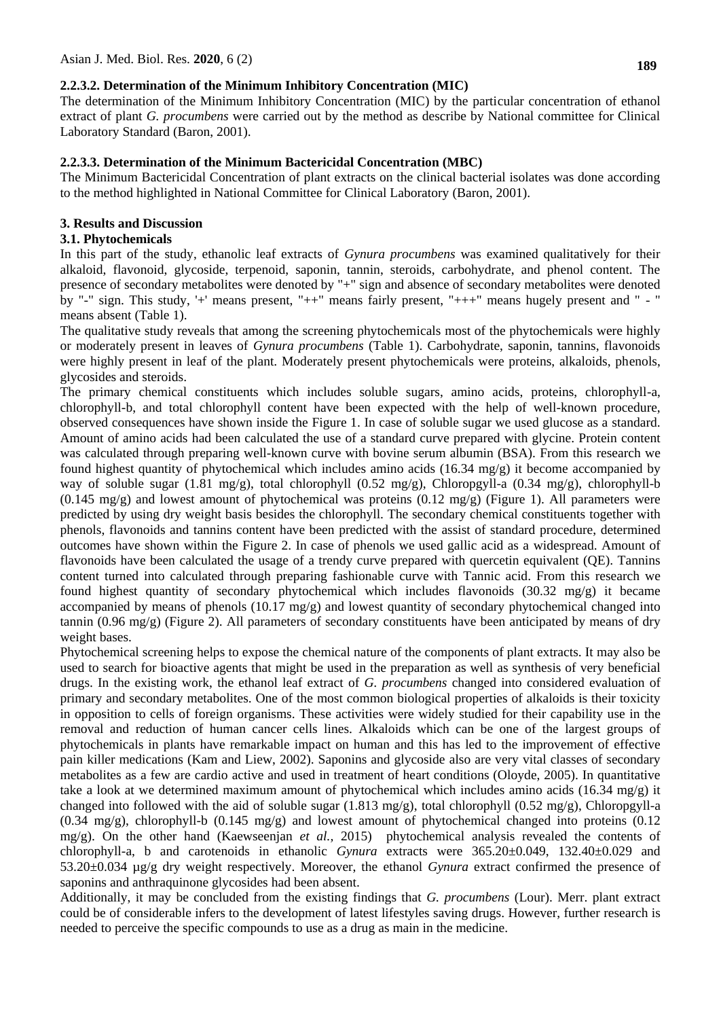# **2.2.3.2. Determination of the Minimum Inhibitory Concentration (MIC)**

The determination of the Minimum Inhibitory Concentration (MIC) by the particular concentration of ethanol extract of plant *G. procumbens* were carried out by the method as describe by National committee for Clinical Laboratory Standard (Baron, 2001).

# **2.2.3.3. Determination of the Minimum Bactericidal Concentration (MBC)**

The Minimum Bactericidal Concentration of plant extracts on the clinical bacterial isolates was done according to the method highlighted in National Committee for Clinical Laboratory (Baron, 2001).

# **3. Results and Discussion**

## **3.1. Phytochemicals**

In this part of the study, ethanolic leaf extracts of *Gynura procumbens* was examined qualitatively for their alkaloid, flavonoid, glycoside, terpenoid, saponin, tannin, steroids, carbohydrate, and phenol content. The presence of secondary metabolites were denoted by "+" sign and absence of secondary metabolites were denoted by "-" sign. This study, '+' means present, "++" means fairly present, "+++" means hugely present and " - " means absent (Table 1).

The qualitative study reveals that among the screening phytochemicals most of the phytochemicals were highly or moderately present in leaves of *Gynura procumbens* (Table 1). Carbohydrate, saponin, tannins, flavonoids were highly present in leaf of the plant. Moderately present phytochemicals were proteins, alkaloids, phenols, glycosides and steroids.

The primary chemical constituents which includes soluble sugars, amino acids, proteins, chlorophyll-a, chlorophyll-b, and total chlorophyll content have been expected with the help of well-known procedure, observed consequences have shown inside the Figure 1. In case of soluble sugar we used glucose as a standard. Amount of amino acids had been calculated the use of a standard curve prepared with glycine. Protein content was calculated through preparing well-known curve with bovine serum albumin (BSA). From this research we found highest quantity of phytochemical which includes amino acids (16.34 mg/g) it become accompanied by way of soluble sugar (1.81 mg/g), total chlorophyll (0.52 mg/g), Chloropgyll-a (0.34 mg/g), chlorophyll-b  $(0.145 \text{ mg/g})$  and lowest amount of phytochemical was proteins  $(0.12 \text{ mg/g})$  (Figure 1). All parameters were predicted by using dry weight basis besides the chlorophyll. The secondary chemical constituents together with phenols, flavonoids and tannins content have been predicted with the assist of standard procedure, determined outcomes have shown within the Figure 2. In case of phenols we used gallic acid as a widespread. Amount of flavonoids have been calculated the usage of a trendy curve prepared with quercetin equivalent (QE). Tannins content turned into calculated through preparing fashionable curve with Tannic acid. From this research we found highest quantity of secondary phytochemical which includes flavonoids (30.32 mg/g) it became accompanied by means of phenols  $(10.17 \text{ mg/g})$  and lowest quantity of secondary phytochemical changed into tannin (0.96 mg/g) (Figure 2). All parameters of secondary constituents have been anticipated by means of dry weight bases.

Phytochemical screening helps to expose the chemical nature of the components of plant extracts. It may also be used to search for bioactive agents that might be used in the preparation as well as synthesis of very beneficial drugs. In the existing work, the ethanol leaf extract of *G. procumbens* changed into considered evaluation of primary and secondary metabolites. One of the most common biological properties of alkaloids is their toxicity in opposition to cells of foreign organisms. These activities were widely studied for their capability use in the removal and reduction of human cancer cells lines. Alkaloids which can be one of the largest groups of phytochemicals in plants have remarkable impact on human and this has led to the improvement of effective pain killer medications (Kam and Liew, 2002). Saponins and glycoside also are very vital classes of secondary metabolites as a few are cardio active and used in treatment of heart conditions (Oloyde, 2005). In quantitative take a look at we determined maximum amount of phytochemical which includes amino acids (16.34 mg/g) it changed into followed with the aid of soluble sugar (1.813 mg/g), total chlorophyll (0.52 mg/g), Chloropgyll-a  $(0.34 \text{ mg/g})$ , chlorophyll-b  $(0.145 \text{ mg/g})$  and lowest amount of phytochemical changed into proteins  $(0.12$ mg/g). On the other hand (Kaewseenjan *et al.,* 2015) phytochemical analysis revealed the contents of chlorophyll-a, b and carotenoids in ethanolic *Gynura* extracts were 365.20±0.049, 132.40±0.029 and 53.20±0.034 µg/g dry weight respectively. Moreover, the ethanol *Gynura* extract confirmed the presence of saponins and anthraquinone glycosides had been absent.

Additionally, it may be concluded from the existing findings that *G. procumbens* (Lour). Merr. plant extract could be of considerable infers to the development of latest lifestyles saving drugs. However, further research is needed to perceive the specific compounds to use as a drug as main in the medicine.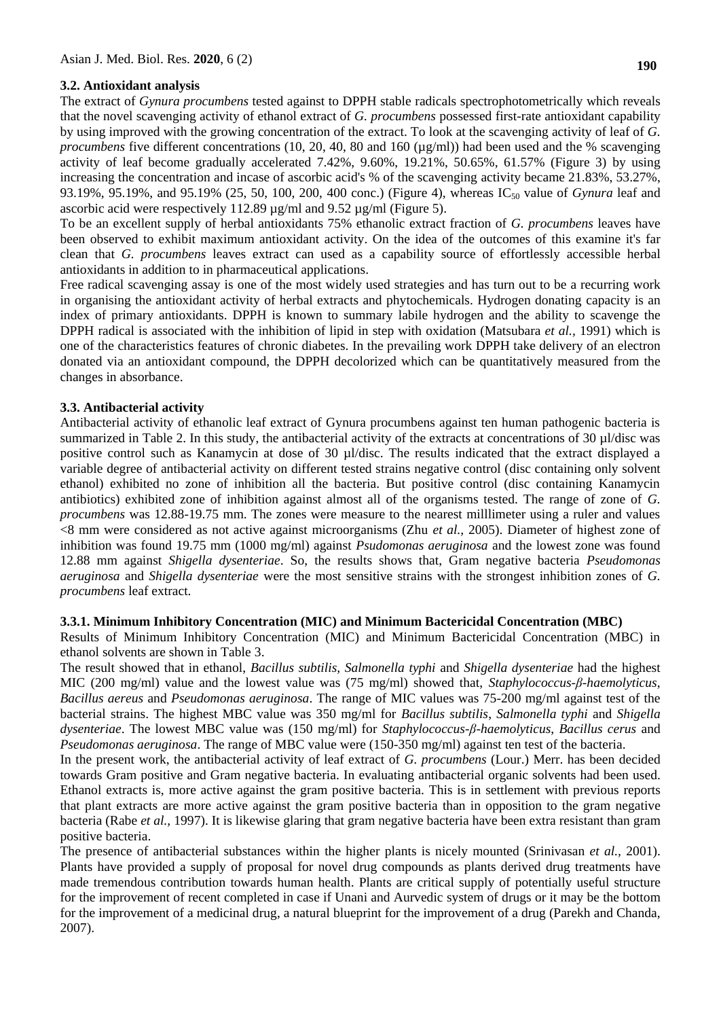# **3.2. Antioxidant analysis**

The extract of *Gynura procumbens* tested against to DPPH stable radicals spectrophotometrically which reveals that the novel scavenging activity of ethanol extract of *G. procumbens* possessed first-rate antioxidant capability by using improved with the growing concentration of the extract. To look at the scavenging activity of leaf of *G. procumbens* five different concentrations (10, 20, 40, 80 and 160 ( $\mu$ g/ml)) had been used and the % scavenging activity of leaf become gradually accelerated 7.42%, 9.60%, 19.21%, 50.65%, 61.57% (Figure 3) by using increasing the concentration and incase of ascorbic acid's % of the scavenging activity became 21.83%, 53.27%, 93.19%, 95.19%, and 95.19% (25, 50, 100, 200, 400 conc.) (Figure 4), whereas IC<sub>50</sub> value of *Gynura* leaf and ascorbic acid were respectively 112.89 µg/ml and 9.52 µg/ml (Figure 5).

To be an excellent supply of herbal antioxidants 75% ethanolic extract fraction of *G. procumbens* leaves have been observed to exhibit maximum antioxidant activity. On the idea of the outcomes of this examine it's far clean that *G. procumbens* leaves extract can used as a capability source of effortlessly accessible herbal antioxidants in addition to in pharmaceutical applications.

Free radical scavenging assay is one of the most widely used strategies and has turn out to be a recurring work in organising the antioxidant activity of herbal extracts and phytochemicals. Hydrogen donating capacity is an index of primary antioxidants. DPPH is known to summary labile hydrogen and the ability to scavenge the DPPH radical is associated with the inhibition of lipid in step with oxidation (Matsubara *et al.,* 1991) which is one of the characteristics features of chronic diabetes. In the prevailing work DPPH take delivery of an electron donated via an antioxidant compound, the DPPH decolorized which can be quantitatively measured from the changes in absorbance.

# **3.3. Antibacterial activity**

Antibacterial activity of ethanolic leaf extract of Gynura procumbens against ten human pathogenic bacteria is summarized in Table 2. In this study, the antibacterial activity of the extracts at concentrations of 30 µl/disc was positive control such as Kanamycin at dose of 30 µl/disc. The results indicated that the extract displayed a variable degree of antibacterial activity on different tested strains negative control (disc containing only solvent ethanol) exhibited no zone of inhibition all the bacteria. But positive control (disc containing Kanamycin antibiotics) exhibited zone of inhibition against almost all of the organisms tested. The range of zone of *G. procumbens* was 12.88-19.75 mm. The zones were measure to the nearest milllimeter using a ruler and values <8 mm were considered as not active against microorganisms (Zhu *et al.,* 2005). Diameter of highest zone of inhibition was found 19.75 mm (1000 mg/ml) against *Psudomonas aeruginosa* and the lowest zone was found 12.88 mm against *Shigella dysenteriae*. So, the results shows that, Gram negative bacteria *Pseudomonas aeruginosa* and *Shigella dysenteriae* were the most sensitive strains with the strongest inhibition zones of *G. procumbens* leaf extract.

# **3.3.1. Minimum Inhibitory Concentration (MIC) and Minimum Bactericidal Concentration (MBC)**

Results of Minimum Inhibitory Concentration (MIC) and Minimum Bactericidal Concentration (MBC) in ethanol solvents are shown in Table 3.

The result showed that in ethanol, *Bacillus subtilis, Salmonella typhi* and *Shigella dysenteriae* had the highest MIC (200 mg/ml) value and the lowest value was (75 mg/ml) showed that, *Staphylococcus-β-haemolyticus*, *Bacillus aereus* and *Pseudomonas aeruginosa*. The range of MIC values was 75-200 mg/ml against test of the bacterial strains. The highest MBC value was 350 mg/ml for *Bacillus subtilis*, *Salmonella typhi* and *Shigella dysenteriae*. The lowest MBC value was (150 mg/ml) for *Staphylococcus-β-haemolyticus*, *Bacillus cerus* and *Pseudomonas aeruginosa*. The range of MBC value were (150-350 mg/ml) against ten test of the bacteria.

In the present work, the antibacterial activity of leaf extract of *G. procumbens* (Lour.) Merr. has been decided towards Gram positive and Gram negative bacteria. In evaluating antibacterial organic solvents had been used. Ethanol extracts is, more active against the gram positive bacteria. This is in settlement with previous reports that plant extracts are more active against the gram positive bacteria than in opposition to the gram negative bacteria (Rabe *et al.,* 1997). It is likewise glaring that gram negative bacteria have been extra resistant than gram positive bacteria.

The presence of antibacterial substances within the higher plants is nicely mounted (Srinivasan *et al.,* 2001). Plants have provided a supply of proposal for novel drug compounds as plants derived drug treatments have made tremendous contribution towards human health. Plants are critical supply of potentially useful structure for the improvement of recent completed in case if Unani and Aurvedic system of drugs or it may be the bottom for the improvement of a medicinal drug, a natural blueprint for the improvement of a drug (Parekh and Chanda, 2007).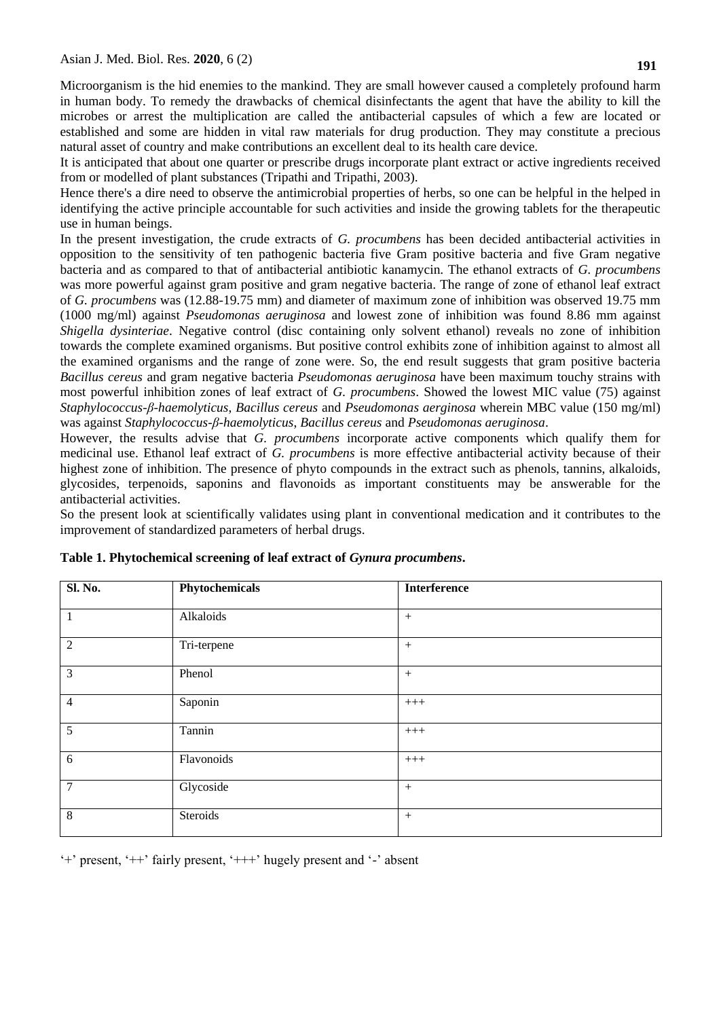Microorganism is the hid enemies to the mankind. They are small however caused a completely profound harm in human body. To remedy the drawbacks of chemical disinfectants the agent that have the ability to kill the microbes or arrest the multiplication are called the antibacterial capsules of which a few are located or established and some are hidden in vital raw materials for drug production. They may constitute a precious natural asset of country and make contributions an excellent deal to its health care device.

It is anticipated that about one quarter or prescribe drugs incorporate plant extract or active ingredients received from or modelled of plant substances (Tripathi and Tripathi, 2003).

Hence there's a dire need to observe the antimicrobial properties of herbs, so one can be helpful in the helped in identifying the active principle accountable for such activities and inside the growing tablets for the therapeutic use in human beings.

In the present investigation, the crude extracts of *G. procumbens* has been decided antibacterial activities in opposition to the sensitivity of ten pathogenic bacteria five Gram positive bacteria and five Gram negative bacteria and as compared to that of antibacterial antibiotic kanamycin. The ethanol extracts of *G. procumbens* was more powerful against gram positive and gram negative bacteria. The range of zone of ethanol leaf extract of *G. procumbens* was (12.88-19.75 mm) and diameter of maximum zone of inhibition was observed 19.75 mm (1000 mg/ml) against *Pseudomonas aeruginosa* and lowest zone of inhibition was found 8.86 mm against *Shigella dysinteriae*. Negative control (disc containing only solvent ethanol) reveals no zone of inhibition towards the complete examined organisms. But positive control exhibits zone of inhibition against to almost all the examined organisms and the range of zone were. So, the end result suggests that gram positive bacteria *Bacillus cereus* and gram negative bacteria *Pseudomonas aeruginosa* have been maximum touchy strains with most powerful inhibition zones of leaf extract of *G. procumbens*. Showed the lowest MIC value (75) against *Staphylococcus-β-haemolyticus*, *Bacillus cereus* and *Pseudomonas aerginosa* wherein MBC value (150 mg/ml) was against *Staphylococcus-β-haemolyticus*, *Bacillus cereus* and *Pseudomonas aeruginosa*.

However, the results advise that *G. procumbens* incorporate active components which qualify them for medicinal use. Ethanol leaf extract of *G. procumbens* is more effective antibacterial activity because of their highest zone of inhibition. The presence of phyto compounds in the extract such as phenols, tannins, alkaloids, glycosides, terpenoids, saponins and flavonoids as important constituents may be answerable for the antibacterial activities.

So the present look at scientifically validates using plant in conventional medication and it contributes to the improvement of standardized parameters of herbal drugs.

| Sl. No.        | Phytochemicals | <b>Interference</b> |
|----------------|----------------|---------------------|
| $\mathbf{1}$   | Alkaloids      | $^{+}$              |
| $\overline{2}$ | Tri-terpene    | $^{+}$              |
| $\mathfrak{Z}$ | Phenol         | $^{+}$              |
| $\overline{4}$ | Saponin        | $+++$               |
| 5              | Tannin         | $+++$               |
| 6              | Flavonoids     | $+++$               |
| $\tau$         | Glycoside      | $^{+}$              |
| 8              | Steroids       | $^{+}$              |

| Table 1. Phytochemical screening of leaf extract of Gynura procumbens. |  |
|------------------------------------------------------------------------|--|
|                                                                        |  |

'+' present, '++' fairly present, '+++' hugely present and '-' absent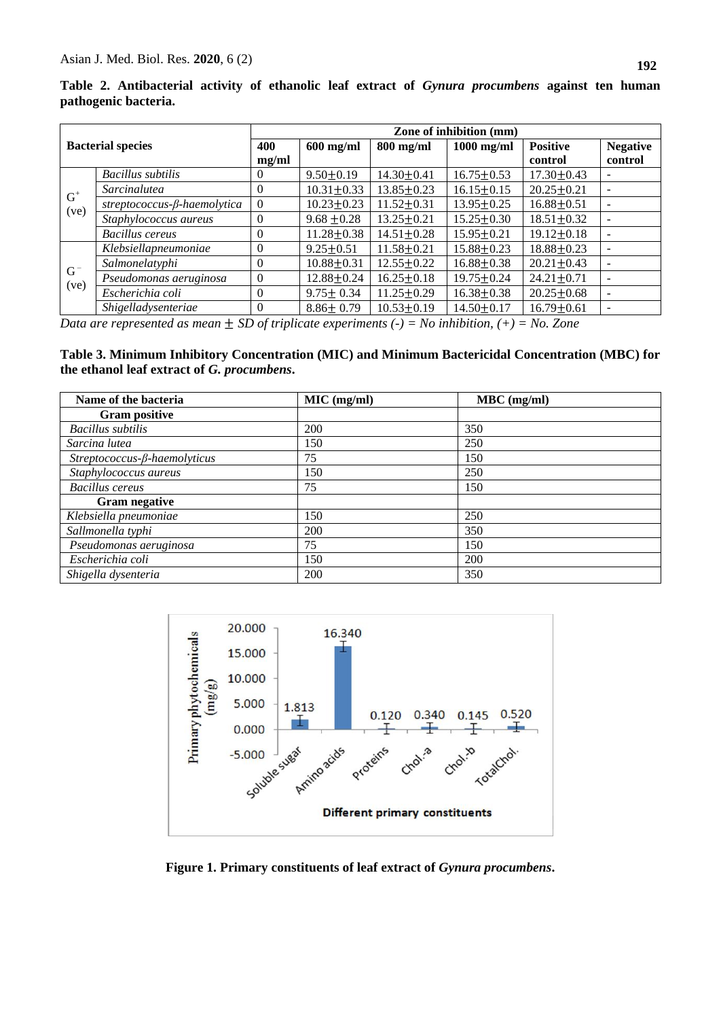$G^+$ (ve)

 $G^-$ (ve)

| pathogenic bacteria.     |                   |                         |                 |                  |                  |                  |                 |
|--------------------------|-------------------|-------------------------|-----------------|------------------|------------------|------------------|-----------------|
| <b>Bacterial species</b> |                   | Zone of inhibition (mm) |                 |                  |                  |                  |                 |
|                          |                   | 400                     | $600$ mg/ml     | $800$ mg/ml      | $1000$ mg/ml     | <b>Positive</b>  | <b>Negative</b> |
|                          |                   | me/ml                   |                 |                  |                  | control          | control         |
|                          | Bacillus subtilis |                         | $9.50 \pm 0.19$ | $14.30 \pm 0.41$ | $16.75 \pm 0.53$ | $17.30 \pm 0.43$ | -               |

*Sarcinalutea* 10.31 <u>10.31 + 0.33</u> 13.85 + 0.23 16.15 + 0.15 20.25 + 0.21 *streptococcus-β-haemolytica* 0 10.23±0.23 11.52±0.31 13.95±0.25 16.88±0.51<br> *Staphylococcus aureus* 0 9.68 +0.28 13.25+0.21 15.25+0.30 18.51+0.32 *Staphylococcus aureus* 0 9.68 0.28 13.25 0.21 15.25 0.30 18.51 0.32 - *Bacillus cereus* 0 11.28 + 0.38 14.51 + 0.28 15.95 + 0.21 19.12 + 0.18 -

*Klebsiellapneumoniae* 0 9.25±0.51 11.58±0.21 15.88±0.23 18.88±0.23 *Salmonelatyphi* 10.88 0.31 12.55 0.22 16.88 0.38 20.21 0.43 -*Pseudomonas aeruginosa*  $\begin{array}{|l|l|l|}\n\hline\n0 & 12.88 \pm 0.24 & 16.25 \pm 0.18 & 19.75 \pm 0.24 & 24.21 \pm 0.71\n\end{array}$ *Escherichia coli* 0 9.75 ± 0.34 11.25 ± 0.29 16.38 ± 0.38 20.25 ± 0.68 *Shigelladysenteriae* 0 8.86 0.79 10.53 0.19 14.50 0.17 16.79 0.61 -

**Table 2. Antibacterial activity of ethanolic leaf extract of** *Gynura procumbens* **against ten human** 

*Data are represented as mean*  $\pm$  *SD of triplicate experiments (-) = No inhibition, (+) = No. Zone* 

**Table 3. Minimum Inhibitory Concentration (MIC) and Minimum Bactericidal Concentration (MBC) for the ethanol leaf extract of** *G. procumbens***.**

| Name of the bacteria               | $MIC$ (mg/ml) | $MBC$ (mg/ml) |
|------------------------------------|---------------|---------------|
| <b>Gram positive</b>               |               |               |
| Bacillus subtilis                  | 200           | 350           |
| Sarcina lutea                      | 150           | 250           |
| $Streptococcus-\beta-haemolyticus$ | 75            | 150           |
| Staphylococcus aureus              | 150           | 250           |
| <b>Bacillus cereus</b>             | 75            | 150           |
| <b>Gram negative</b>               |               |               |
| Klebsiella pneumoniae              | 150           | 250           |
| Sallmonella typhi                  | 200           | 350           |
| Pseudomonas aeruginosa             | 75            | 150           |
| Escherichia coli                   | 150           | <b>200</b>    |
| Shigella dysenteria                | 200           | 350           |



**Figure 1. Primary constituents of leaf extract of** *Gynura procumbens***.**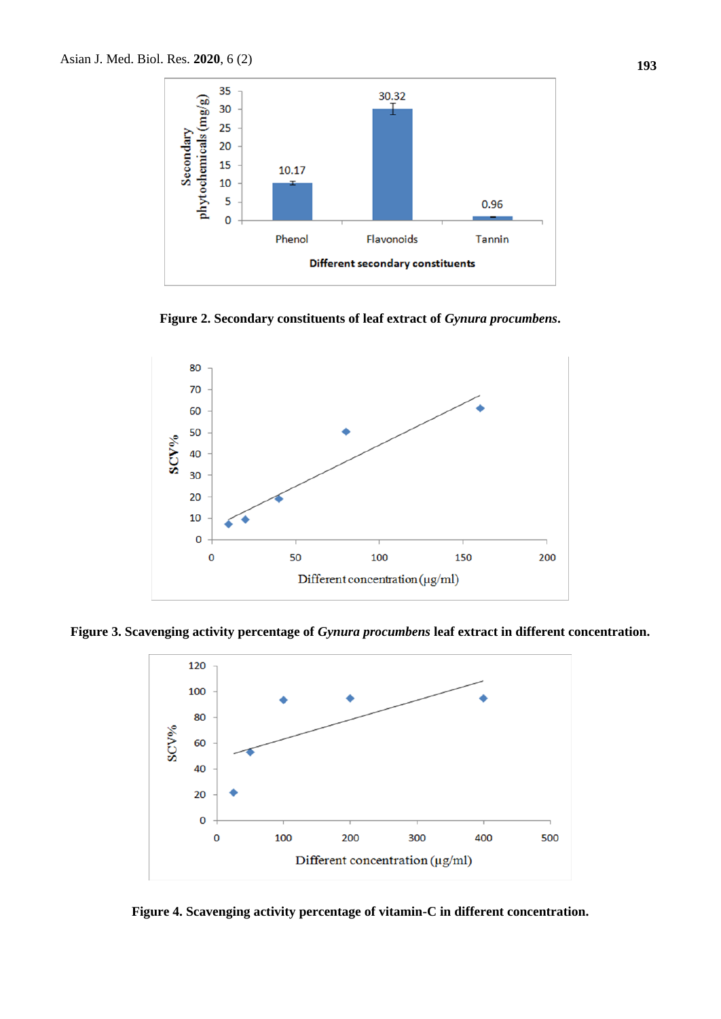

Figure 2. Secondary constituents of leaf extract of *Gynura procumbens*.



**Figure 3. Scavenging activity percentage of** *Gynura procumbens* **leaf extract in different concentration.**



**Figure 4. Scavenging activity percentage of vitamin-C in different concentration.**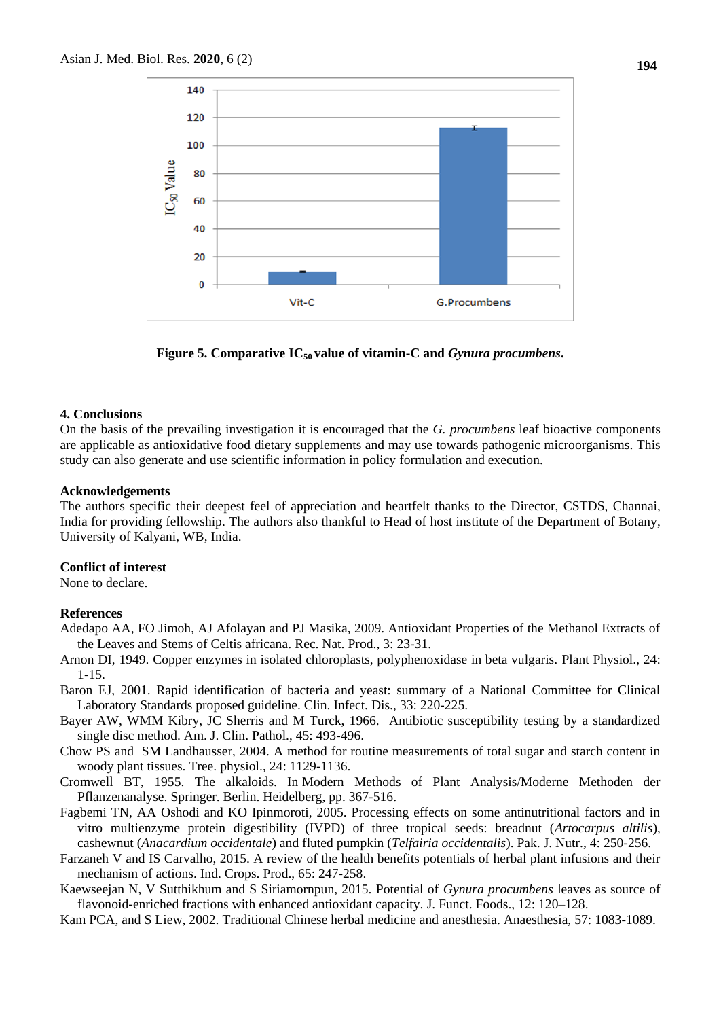

**Figure 5. Comparative IC50 value of vitamin-C and** *Gynura procumbens***.**

#### **4. Conclusions**

On the basis of the prevailing investigation it is encouraged that the *G. procumbens* leaf bioactive components are applicable as antioxidative food dietary supplements and may use towards pathogenic microorganisms. This study can also generate and use scientific information in policy formulation and execution.

#### **Acknowledgements**

The authors specific their deepest feel of appreciation and heartfelt thanks to the Director, CSTDS, Channai, India for providing fellowship. The authors also thankful to Head of host institute of the Department of Botany, University of Kalyani, WB, India.

#### **Conflict of interest**

None to declare.

#### **References**

- Adedapo AA, FO Jimoh, AJ Afolayan and PJ Masika, 2009. Antioxidant Properties of the Methanol Extracts of the Leaves and Stems of Celtis africana. Rec. Nat. Prod., 3: 23-31.
- Arnon DI, 1949. Copper enzymes in isolated chloroplasts, polyphenoxidase in beta vulgaris. Plant Physiol., 24: 1-15.
- Baron EJ, 2001. Rapid identification of bacteria and yeast: summary of a National Committee for Clinical Laboratory Standards proposed guideline. Clin. Infect. Dis., 33: 220-225.
- Bayer AW, WMM Kibry, JC Sherris and M Turck, 1966. Antibiotic susceptibility testing by a standardized single disc method. Am. J. Clin. Pathol., 45: 493-496.
- Chow PS and SM Landhausser, 2004. A method for routine measurements of total sugar and starch content in woody plant tissues. Tree. physiol., 24: 1129-1136.
- Cromwell BT, 1955. The alkaloids. In Modern Methods of Plant Analysis/Moderne Methoden der Pflanzenanalyse. Springer. Berlin. Heidelberg, pp. 367-516.
- Fagbemi TN, AA Oshodi and KO Ipinmoroti, 2005. Processing effects on some antinutritional factors and in vitro multienzyme protein digestibility (IVPD) of three tropical seeds: breadnut (*Artocarpus altilis*), cashewnut (*Anacardium occidentale*) and fluted pumpkin (*Telfairia occidentalis*). Pak. J. Nutr., 4: 250-256.
- Farzaneh V and IS Carvalho, 2015. A review of the health benefits potentials of herbal plant infusions and their mechanism of actions. Ind. Crops. Prod., 65: 247-258.
- Kaewseejan N, V Sutthikhum and S Siriamornpun, 2015. Potential of *Gynura procumbens* leaves as source of flavonoid-enriched fractions with enhanced antioxidant capacity. J. Funct. Foods., 12: 120–128.
- Kam PCA, and S Liew, 2002. Traditional Chinese herbal medicine and anesthesia. Anaesthesia, 57: 1083-1089.